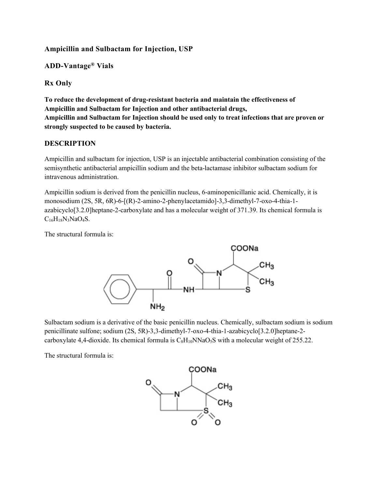# **Ampicillin and Sulbactam for Injection, USP**

**ADD-Vantage® Vials**

**Rx Only**

**To reduce the development of drug-resistant bacteria and maintain the effectiveness of Ampicillin and Sulbactam for Injection and other antibacterial drugs, Ampicillin and Sulbactam for Injection should be used only to treat infections that are proven or strongly suspected to be caused by bacteria.**

# **DESCRIPTION**

Ampicillin and sulbactam for injection, USP is an injectable antibacterial combination consisting of the semisynthetic antibacterial ampicillin sodium and the beta-lactamase inhibitor sulbactam sodium for intravenous administration.

Ampicillin sodium is derived from the penicillin nucleus, 6-aminopenicillanic acid. Chemically, it is monosodium (2S, 5R, 6R)-6-[(R)-2-amino-2-phenylacetamido]-3,3-dimethyl-7-oxo-4-thia-1 azabicyclo[3.2.0]heptane-2-carboxylate and has a molecular weight of 371.39. Its chemical formula is  $C_{16}H_{18}N_3NaO_4S$ .

The structural formula is:



Sulbactam sodium is a derivative of the basic penicillin nucleus. Chemically, sulbactam sodium is sodium penicillinate sulfone; sodium (2S, 5R)-3,3-dimethyl-7-oxo-4-thia-1-azabicyclo[3.2.0]heptane-2 carboxylate 4,4-dioxide. Its chemical formula is  $C_8H_{10}NNaO_5S$  with a molecular weight of 255.22.

The structural formula is:

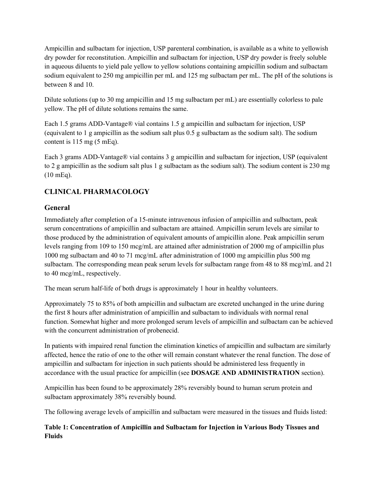Ampicillin and sulbactam for injection, USP parenteral combination, is available as a white to yellowish dry powder for reconstitution. Ampicillin and sulbactam for injection, USP dry powder is freely soluble in aqueous diluents to yield pale yellow to yellow solutions containing ampicillin sodium and sulbactam sodium equivalent to 250 mg ampicillin per mL and 125 mg sulbactam per mL. The pH of the solutions is between 8 and 10.

Dilute solutions (up to 30 mg ampicillin and 15 mg sulbactam per mL) are essentially colorless to pale yellow. The pH of dilute solutions remains the same.

Each 1.5 grams ADD-Vantage® vial contains 1.5 g ampicillin and sulbactam for injection, USP (equivalent to 1 g ampicillin as the sodium salt plus 0.5 g sulbactam as the sodium salt). The sodium content is 115 mg (5 mEq).

Each 3 grams ADD-Vantage® vial contains 3 g ampicillin and sulbactam for injection, USP (equivalent to 2 g ampicillin as the sodium salt plus 1 g sulbactam as the sodium salt). The sodium content is 230 mg (10 mEq).

# **CLINICAL PHARMACOLOGY**

# **General**

Immediately after completion of a 15-minute intravenous infusion of ampicillin and sulbactam, peak serum concentrations of ampicillin and sulbactam are attained. Ampicillin serum levels are similar to those produced by the administration of equivalent amounts of ampicillin alone. Peak ampicillin serum levels ranging from 109 to 150 mcg/mL are attained after administration of 2000 mg of ampicillin plus 1000 mg sulbactam and 40 to 71 mcg/mL after administration of 1000 mg ampicillin plus 500 mg sulbactam. The corresponding mean peak serum levels for sulbactam range from 48 to 88 mcg/mL and 21 to 40 mcg/mL, respectively.

The mean serum half-life of both drugs is approximately 1 hour in healthy volunteers.

Approximately 75 to 85% of both ampicillin and sulbactam are excreted unchanged in the urine during the first 8 hours after administration of ampicillin and sulbactam to individuals with normal renal function. Somewhat higher and more prolonged serum levels of ampicillin and sulbactam can be achieved with the concurrent administration of probenecid.

In patients with impaired renal function the elimination kinetics of ampicillin and sulbactam are similarly affected, hence the ratio of one to the other will remain constant whatever the renal function. The dose of ampicillin and sulbactam for injection in such patients should be administered less frequently in accordance with the usual practice for ampicillin (see **DOSAGE AND ADMINISTRATION** section).

Ampicillin has been found to be approximately 28% reversibly bound to human serum protein and sulbactam approximately 38% reversibly bound.

The following average levels of ampicillin and sulbactam were measured in the tissues and fluids listed:

**Table 1: Concentration of Ampicillin and Sulbactam for Injection in Various Body Tissues and Fluids**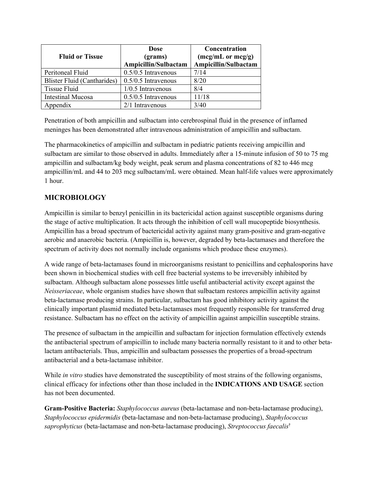| <b>Fluid or Tissue</b>      | <b>Dose</b><br>(grams)<br>Ampicillin/Sulbactam | Concentration<br>$(mcg/mL \text{ or } mcg/g)$<br>Ampicillin/Sulbactam |
|-----------------------------|------------------------------------------------|-----------------------------------------------------------------------|
| Peritoneal Fluid            | $0.5/0.5$ Intravenous                          | 7/14                                                                  |
| Blister Fluid (Cantharides) | $0.5/0.5$ Intravenous                          | 8/20                                                                  |
| Tissue Fluid                | $1/0.5$ Intravenous                            | 8/4                                                                   |
| <b>Intestinal Mucosa</b>    | $0.5/0.5$ Intravenous                          | 11/18                                                                 |
| Appendix                    | 2/1 Intravenous                                | 3/40                                                                  |

Penetration of both ampicillin and sulbactam into cerebrospinal fluid in the presence of inflamed meninges has been demonstrated after intravenous administration of ampicillin and sulbactam.

The pharmacokinetics of ampicillin and sulbactam in pediatric patients receiving ampicillin and sulbactam are similar to those observed in adults. Immediately after a 15-minute infusion of 50 to 75 mg ampicillin and sulbactam/kg body weight, peak serum and plasma concentrations of 82 to 446 mcg ampicillin/mL and 44 to 203 mcg sulbactam/mL were obtained. Mean half-life values were approximately 1 hour.

# **MICROBIOLOGY**

Ampicillin is similar to benzyl penicillin in its bactericidal action against susceptible organisms during the stage of active multiplication. It acts through the inhibition of cell wall mucopeptide biosynthesis. Ampicillin has a broad spectrum of bactericidal activity against many gram-positive and gram-negative aerobic and anaerobic bacteria. (Ampicillin is, however, degraded by beta-lactamases and therefore the spectrum of activity does not normally include organisms which produce these enzymes).

A wide range of beta-lactamases found in microorganisms resistant to penicillins and cephalosporins have been shown in biochemical studies with cell free bacterial systems to be irreversibly inhibited by sulbactam. Although sulbactam alone possesses little useful antibacterial activity except against the *Neisseriaceae*, whole organism studies have shown that sulbactam restores ampicillin activity against beta-lactamase producing strains. In particular, sulbactam has good inhibitory activity against the clinically important plasmid mediated beta-lactamases most frequently responsible for transferred drug resistance. Sulbactam has no effect on the activity of ampicillin against ampicillin susceptible strains.

The presence of sulbactam in the ampicillin and sulbactam for injection formulation effectively extends the antibacterial spectrum of ampicillin to include many bacteria normally resistant to it and to other betalactam antibacterials. Thus, ampicillin and sulbactam possesses the properties of a broad-spectrum antibacterial and a beta-lactamase inhibitor.

While *in vitro* studies have demonstrated the susceptibility of most strains of the following organisms, clinical efficacy for infections other than those included in the **INDICATIONS AND USAGE** section has not been documented.

**Gram-Positive Bacteria:** *Staphylococcus aureus* (beta-lactamase and non-beta-lactamase producing), *Staphylococcus epidermidis* (beta-lactamase and non-beta-lactamase producing), *Staphylococcus saprophyticus* (beta-lactamase and non-beta-lactamase producing), *Streptococcus faecalis*†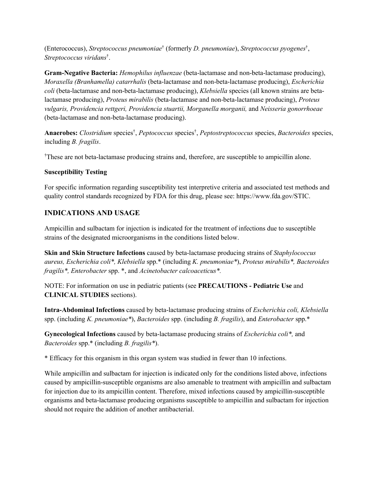(Enterococcus), *Streptococcus pneumoniae*† (formerly *D. pneumoniae*), *Streptococcus pyogenes*† , *Streptococcus viridans*† .

**Gram-Negative Bacteria:** *Hemophilus influenzae* (beta-lactamase and non-beta-lactamase producing), *Moraxella (Branhamella) catarrhalis* (beta-lactamase and non-beta-lactamase producing), *Escherichia coli* (beta-lactamase and non-beta-lactamase producing), *Klebsiella* species (all known strains are betalactamase producing), *Proteus mirabilis* (beta-lactamase and non-beta-lactamase producing), *Proteus vulgaris, Providencia rettgeri, Providencia stuartii, Morganella morganii,* and *Neisseria gonorrhoeae* (beta-lactamase and non-beta-lactamase producing).

**Anaerobes:** *Clostridium* species† , *Peptococcus* species† , *Peptostreptococcus* species, *Bacteroides* species, including *B. fragilis*.

†These are not beta-lactamase producing strains and, therefore, are susceptible to ampicillin alone.

#### **Susceptibility Testing**

For specific information regarding susceptibility test interpretive criteria and associated test methods and quality control standards recognized by FDA for this drug, please see: https://www.fda.gov/STIC.

#### **INDICATIONS AND USAGE**

Ampicillin and sulbactam for injection is indicated for the treatment of infections due to susceptible strains of the designated microorganisms in the conditions listed below.

**Skin and Skin Structure Infections** caused by beta-lactamase producing strains of *Staphylococcus aureus, Escherichia coli\*, Klebsiella* spp.\* (including *K. pneumoniae\**), *Proteus mirabilis\*, Bacteroides fragilis\*, Enterobacter* spp. \*, and *Acinetobacter calcoaceticus\*.*

NOTE: For information on use in pediatric patients (see **PRECAUTIONS - Pediatric Use** and **CLINICAL STUDIES** sections).

**Intra-Abdominal Infections** caused by beta-lactamase producing strains of *Escherichia coli, Klebsiella* spp. (including *K. pneumoniae\**), *Bacteroides* spp. (including *B. fragilis*), and *Enterobacter* spp.\*

**Gynecological Infections** caused by beta-lactamase producing strains of *Escherichia coli\*,* and *Bacteroides* spp.\* (including *B. fragilis\**).

\* Efficacy for this organism in this organ system was studied in fewer than 10 infections.

While ampicillin and sulbactam for injection is indicated only for the conditions listed above, infections caused by ampicillin-susceptible organisms are also amenable to treatment with ampicillin and sulbactam for injection due to its ampicillin content. Therefore, mixed infections caused by ampicillin-susceptible organisms and beta-lactamase producing organisms susceptible to ampicillin and sulbactam for injection should not require the addition of another antibacterial.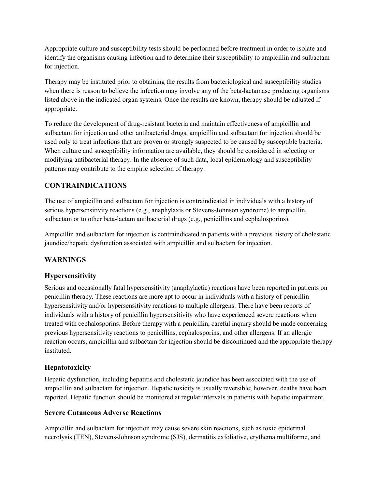Appropriate culture and susceptibility tests should be performed before treatment in order to isolate and identify the organisms causing infection and to determine their susceptibility to ampicillin and sulbactam for injection.

Therapy may be instituted prior to obtaining the results from bacteriological and susceptibility studies when there is reason to believe the infection may involve any of the beta-lactamase producing organisms listed above in the indicated organ systems. Once the results are known, therapy should be adjusted if appropriate.

To reduce the development of drug-resistant bacteria and maintain effectiveness of ampicillin and sulbactam for injection and other antibacterial drugs, ampicillin and sulbactam for injection should be used only to treat infections that are proven or strongly suspected to be caused by susceptible bacteria. When culture and susceptibility information are available, they should be considered in selecting or modifying antibacterial therapy. In the absence of such data, local epidemiology and susceptibility patterns may contribute to the empiric selection of therapy.

# **CONTRAINDICATIONS**

The use of ampicillin and sulbactam for injection is contraindicated in individuals with a history of serious hypersensitivity reactions (e.g., anaphylaxis or Stevens-Johnson syndrome) to ampicillin, sulbactam or to other beta-lactam antibacterial drugs (e.g., penicillins and cephalosporins).

Ampicillin and sulbactam for injection is contraindicated in patients with a previous history of cholestatic jaundice/hepatic dysfunction associated with ampicillin and sulbactam for injection.

# **WARNINGS**

# **Hypersensitivity**

Serious and occasionally fatal hypersensitivity (anaphylactic) reactions have been reported in patients on penicillin therapy. These reactions are more apt to occur in individuals with a history of penicillin hypersensitivity and/or hypersensitivity reactions to multiple allergens. There have been reports of individuals with a history of penicillin hypersensitivity who have experienced severe reactions when treated with cephalosporins. Before therapy with a penicillin, careful inquiry should be made concerning previous hypersensitivity reactions to penicillins, cephalosporins, and other allergens. If an allergic reaction occurs, ampicillin and sulbactam for injection should be discontinued and the appropriate therapy instituted.

# **Hepatotoxicity**

Hepatic dysfunction, including hepatitis and cholestatic jaundice has been associated with the use of ampicillin and sulbactam for injection. Hepatic toxicity is usually reversible; however, deaths have been reported. Hepatic function should be monitored at regular intervals in patients with hepatic impairment.

#### **Severe Cutaneous Adverse Reactions**

Ampicillin and sulbactam for injection may cause severe skin reactions, such as toxic epidermal necrolysis (TEN), Stevens-Johnson syndrome (SJS), dermatitis exfoliative, erythema multiforme, and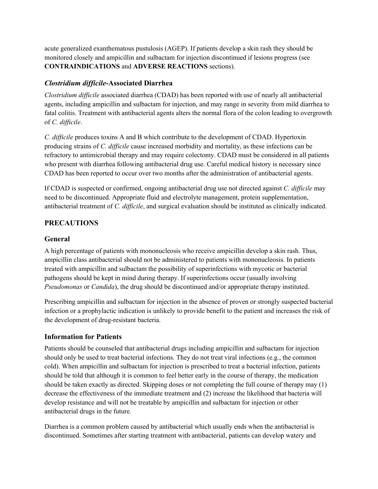acute generalized exanthematous pustulosis (AGEP). If patients develop a skin rash they should be monitored closely and ampicillin and sulbactam for injection discontinued if lesions progress (see **CONTRAINDICATIONS** and **ADVERSE REACTIONS** sections).

# *Clostridium difficile***-Associated Diarrhea**

*Clostridium difficile* associated diarrhea (CDAD) has been reported with use of nearly all antibacterial agents, including ampicillin and sulbactam for injection, and may range in severity from mild diarrhea to fatal colitis. Treatment with antibacterial agents alters the normal flora of the colon leading to overgrowth of *C. difficile*.

*C. difficile* produces toxins A and B which contribute to the development of CDAD. Hypertoxin producing strains of *C. difficile* cause increased morbidity and mortality, as these infections can be refractory to antimicrobial therapy and may require colectomy. CDAD must be considered in all patients who present with diarrhea following antibacterial drug use. Careful medical history is necessary since CDAD has been reported to occur over two months after the administration of antibacterial agents.

If CDAD is suspected or confirmed, ongoing antibacterial drug use not directed against *C. difficile* may need to be discontinued. Appropriate fluid and electrolyte management, protein supplementation, antibacterial treatment of *C. difficile*, and surgical evaluation should be instituted as clinically indicated.

# **PRECAUTIONS**

# **General**

A high percentage of patients with mononucleosis who receive ampicillin develop a skin rash. Thus, ampicillin class antibacterial should not be administered to patients with mononucleosis. In patients treated with ampicillin and sulbactam the possibility of superinfections with mycotic or bacterial pathogens should be kept in mind during therapy. If superinfections occur (usually involving *Pseudomonas* or *Candida*), the drug should be discontinued and/or appropriate therapy instituted.

Prescribing ampicillin and sulbactam for injection in the absence of proven or strongly suspected bacterial infection or a prophylactic indication is unlikely to provide benefit to the patient and increases the risk of the development of drug-resistant bacteria.

# **Information for Patients**

Patients should be counseled that antibacterial drugs including ampicillin and sulbactam for injection should only be used to treat bacterial infections. They do not treat viral infections (e.g., the common cold). When ampicillin and sulbactam for injection is prescribed to treat a bacterial infection, patients should be told that although it is common to feel better early in the course of therapy, the medication should be taken exactly as directed. Skipping doses or not completing the full course of therapy may (1) decrease the effectiveness of the immediate treatment and (2) increase the likelihood that bacteria will develop resistance and will not be treatable by ampicillin and sulbactam for injection or other antibacterial drugs in the future.

Diarrhea is a common problem caused by antibacterial which usually ends when the antibacterial is discontinued. Sometimes after starting treatment with antibacterial, patients can develop watery and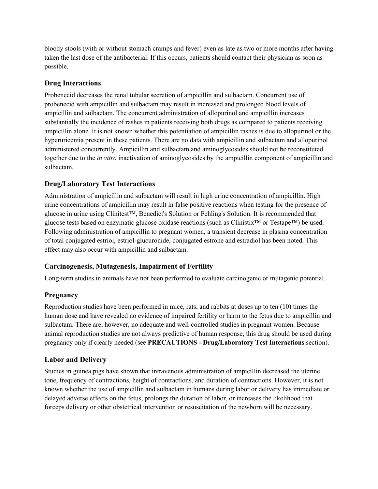bloody stools (with or without stomach cramps and fever) even as late as two or more months after having taken the last dose of the antibacterial. If this occurs, patients should contact their physician as soon as possible.

# **Drug Interactions**

Probenecid decreases the renal tubular secretion of ampicillin and sulbactam. Concurrent use of probenecid with ampicillin and sulbactam may result in increased and prolonged blood levels of ampicillin and sulbactam. The concurrent administration of allopurinol and ampicillin increases substantially the incidence of rashes in patients receiving both drugs as compared to patients receiving ampicillin alone. It is not known whether this potentiation of ampicillin rashes is due to allopurinol or the hyperuricemia present in these patients. There are no data with ampicillin and sulbactam and allopurinol administered concurrently. Ampicillin and sulbactam and aminoglycosides should not be reconstituted together due to the *in vitro* inactivation of aminoglycosides by the ampicillin component of ampicillin and sulbactam.

# **Drug/Laboratory Test Interactions**

Administration of ampicillin and sulbactam will result in high urine concentration of ampicillin. High urine concentrations of ampicillin may result in false positive reactions when testing for the presence of glucose in urine using Clinitest™, Benedict's Solution or Fehling's Solution. It is recommended that glucose tests based on enzymatic glucose oxidase reactions (such as Clinistix™ or Testape™) be used. Following administration of ampicillin to pregnant women, a transient decrease in plasma concentration of total conjugated estriol, estriol-glucuronide, conjugated estrone and estradiol has been noted. This effect may also occur with ampicillin and sulbactam.

# **Carcinogenesis, Mutagenesis, Impairment of Fertility**

Long-term studies in animals have not been performed to evaluate carcinogenic or mutagenic potential.

# **Pregnancy**

Reproduction studies have been performed in mice, rats, and rabbits at doses up to ten (10) times the human dose and have revealed no evidence of impaired fertility or harm to the fetus due to ampicillin and sulbactam. There are, however, no adequate and well-controlled studies in pregnant women. Because animal reproduction studies are not always predictive of human response, this drug should be used during pregnancy only if clearly needed (see **PRECAUTIONS - Drug/Laboratory Test Interactions** section).

# **Labor and Delivery**

Studies in guinea pigs have shown that intravenous administration of ampicillin decreased the uterine tone, frequency of contractions, height of contractions, and duration of contractions. However, it is not known whether the use of ampicillin and sulbactam in humans during labor or delivery has immediate or delayed adverse effects on the fetus, prolongs the duration of labor, or increases the likelihood that forceps delivery or other obstetrical intervention or resuscitation of the newborn will be necessary.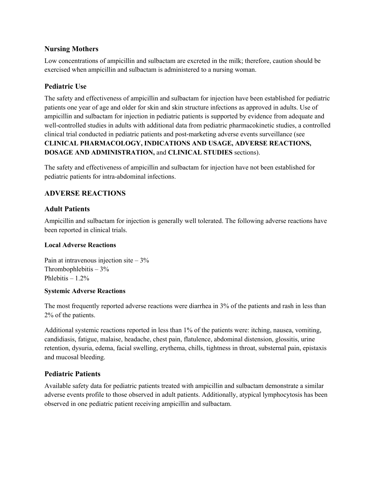#### **Nursing Mothers**

Low concentrations of ampicillin and sulbactam are excreted in the milk; therefore, caution should be exercised when ampicillin and sulbactam is administered to a nursing woman.

# **Pediatric Use**

The safety and effectiveness of ampicillin and sulbactam for injection have been established for pediatric patients one year of age and older for skin and skin structure infections as approved in adults. Use of ampicillin and sulbactam for injection in pediatric patients is supported by evidence from adequate and well-controlled studies in adults with additional data from pediatric pharmacokinetic studies, a controlled clinical trial conducted in pediatric patients and post-marketing adverse events surveillance (see **CLINICAL PHARMACOLOGY, INDICATIONS AND USAGE, ADVERSE REACTIONS, DOSAGE AND ADMINISTRATION,** and **CLINICAL STUDIES** sections).

The safety and effectiveness of ampicillin and sulbactam for injection have not been established for pediatric patients for intra-abdominal infections.

# **ADVERSE REACTIONS**

# **Adult Patients**

Ampicillin and sulbactam for injection is generally well tolerated. The following adverse reactions have been reported in clinical trials.

#### **Local Adverse Reactions**

Pain at intravenous injection site  $-3\%$ Thrombophlebitis  $-3\%$ Phlebitis  $-1.2%$ 

#### **Systemic Adverse Reactions**

The most frequently reported adverse reactions were diarrhea in 3% of the patients and rash in less than 2% of the patients.

Additional systemic reactions reported in less than 1% of the patients were: itching, nausea, vomiting, candidiasis, fatigue, malaise, headache, chest pain, flatulence, abdominal distension, glossitis, urine retention, dysuria, edema, facial swelling, erythema, chills, tightness in throat, substernal pain, epistaxis and mucosal bleeding.

# **Pediatric Patients**

Available safety data for pediatric patients treated with ampicillin and sulbactam demonstrate a similar adverse events profile to those observed in adult patients. Additionally, atypical lymphocytosis has been observed in one pediatric patient receiving ampicillin and sulbactam.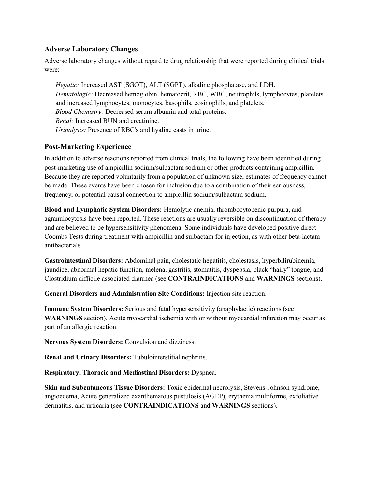### **Adverse Laboratory Changes**

Adverse laboratory changes without regard to drug relationship that were reported during clinical trials were:

*Hepatic:* Increased AST (SGOT), ALT (SGPT), alkaline phosphatase, and LDH. *Hematologic:* Decreased hemoglobin, hematocrit, RBC, WBC, neutrophils, lymphocytes, platelets and increased lymphocytes, monocytes, basophils, eosinophils, and platelets. *Blood Chemistry:* Decreased serum albumin and total proteins. *Renal:* Increased BUN and creatinine. *Urinalysis:* Presence of RBC's and hyaline casts in urine.

#### **Post-Marketing Experience**

In addition to adverse reactions reported from clinical trials, the following have been identified during post-marketing use of ampicillin sodium/sulbactam sodium or other products containing ampicillin. Because they are reported voluntarily from a population of unknown size, estimates of frequency cannot be made. These events have been chosen for inclusion due to a combination of their seriousness, frequency, or potential causal connection to ampicillin sodium/sulbactam sodium.

**Blood and Lymphatic System Disorders:** Hemolytic anemia, thrombocytopenic purpura, and agranulocytosis have been reported. These reactions are usually reversible on discontinuation of therapy and are believed to be hypersensitivity phenomena. Some individuals have developed positive direct Coombs Tests during treatment with ampicillin and sulbactam for injection, as with other beta-lactam antibacterials.

**Gastrointestinal Disorders:** Abdominal pain, cholestatic hepatitis, cholestasis, hyperbilirubinemia, jaundice, abnormal hepatic function, melena, gastritis, stomatitis, dyspepsia, black "hairy" tongue, and Clostridium difficile associated diarrhea (see **CONTRAINDICATIONS** and **WARNINGS** sections).

**General Disorders and Administration Site Conditions:** Injection site reaction.

**Immune System Disorders:** Serious and fatal hypersensitivity (anaphylactic) reactions (see **WARNINGS** section). Acute myocardial ischemia with or without myocardial infarction may occur as part of an allergic reaction.

**Nervous System Disorders:** Convulsion and dizziness.

**Renal and Urinary Disorders:** Tubulointerstitial nephritis.

**Respiratory, Thoracic and Mediastinal Disorders:** Dyspnea.

**Skin and Subcutaneous Tissue Disorders:** Toxic epidermal necrolysis, Stevens-Johnson syndrome, angioedema, Acute generalized exanthematous pustulosis (AGEP), erythema multiforme, exfoliative dermatitis, and urticaria (see **CONTRAINDICATIONS** and **WARNINGS** sections).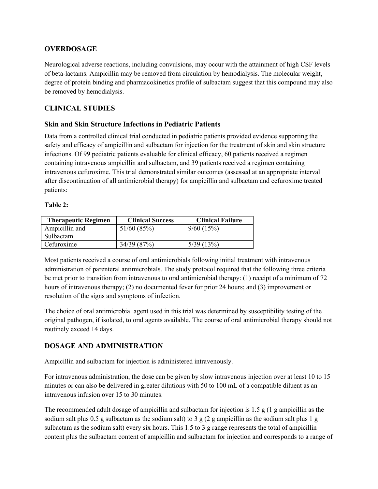# **OVERDOSAGE**

Neurological adverse reactions, including convulsions, may occur with the attainment of high CSF levels of beta-lactams. Ampicillin may be removed from circulation by hemodialysis. The molecular weight, degree of protein binding and pharmacokinetics profile of sulbactam suggest that this compound may also be removed by hemodialysis.

# **CLINICAL STUDIES**

# **Skin and Skin Structure Infections in Pediatric Patients**

Data from a controlled clinical trial conducted in pediatric patients provided evidence supporting the safety and efficacy of ampicillin and sulbactam for injection for the treatment of skin and skin structure infections. Of 99 pediatric patients evaluable for clinical efficacy, 60 patients received a regimen containing intravenous ampicillin and sulbactam, and 39 patients received a regimen containing intravenous cefuroxime. This trial demonstrated similar outcomes (assessed at an appropriate interval after discontinuation of all antimicrobial therapy) for ampicillin and sulbactam and cefuroxime treated patients:

#### **Table 2:**

| <b>Therapeutic Regimen</b> | <b>Clinical Success</b> | <b>Clinical Failure</b> |
|----------------------------|-------------------------|-------------------------|
| Ampicillin and             | 51/60(85%)              | 9/60(15%)               |
| Sulbactam                  |                         |                         |
| Cefuroxime                 | 34/39 (87%)             | 5/39(13%)               |

Most patients received a course of oral antimicrobials following initial treatment with intravenous administration of parenteral antimicrobials. The study protocol required that the following three criteria be met prior to transition from intravenous to oral antimicrobial therapy: (1) receipt of a minimum of 72 hours of intravenous therapy; (2) no documented fever for prior 24 hours; and (3) improvement or resolution of the signs and symptoms of infection.

The choice of oral antimicrobial agent used in this trial was determined by susceptibility testing of the original pathogen, if isolated, to oral agents available. The course of oral antimicrobial therapy should not routinely exceed 14 days.

# **DOSAGE AND ADMINISTRATION**

Ampicillin and sulbactam for injection is administered intravenously.

For intravenous administration, the dose can be given by slow intravenous injection over at least 10 to 15 minutes or can also be delivered in greater dilutions with 50 to 100 mL of a compatible diluent as an intravenous infusion over 15 to 30 minutes.

The recommended adult dosage of ampicillin and sulbactam for injection is 1.5 g (1 g ampicillin as the sodium salt plus 0.5 g sulbactam as the sodium salt) to  $3 g (2 g)$  ampicillin as the sodium salt plus 1 g sulbactam as the sodium salt) every six hours. This 1.5 to 3 g range represents the total of ampicillin content plus the sulbactam content of ampicillin and sulbactam for injection and corresponds to a range of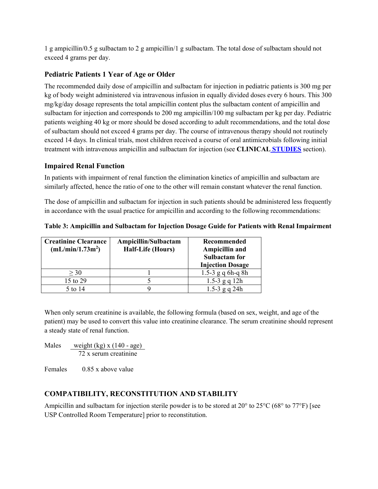1 g ampicillin/0.5 g sulbactam to 2 g ampicillin/1 g sulbactam. The total dose of sulbactam should not exceed 4 grams per day.

#### **Pediatric Patients 1 Year of Age or Older**

The recommended daily dose of ampicillin and sulbactam for injection in pediatric patients is 300 mg per kg of body weight administered via intravenous infusion in equally divided doses every 6 hours. This 300 mg/kg/day dosage represents the total ampicillin content plus the sulbactam content of ampicillin and sulbactam for injection and corresponds to 200 mg ampicillin/100 mg sulbactam per kg per day. Pediatric patients weighing 40 kg or more should be dosed according to adult recommendations, and the total dose of sulbactam should not exceed 4 grams per day. The course of intravenous therapy should not routinely exceed 14 days. In clinical trials, most children received a course of oral antimicrobials following initial treatment with intravenous ampicillin and sulbactam for injection (see **CLINICAL STUDIES** section).

#### **Impaired Renal Function**

In patients with impairment of renal function the elimination kinetics of ampicillin and sulbactam are similarly affected, hence the ratio of one to the other will remain constant whatever the renal function.

The dose of ampicillin and sulbactam for injection in such patients should be administered less frequently in accordance with the usual practice for ampicillin and according to the following recommendations:

| <b>Creatinine Clearance</b><br>(mL/min/1.73m <sup>2</sup> ) | Ampicillin/Sulbactam<br><b>Half-Life (Hours)</b> | Recommended<br>Ampicillin and<br>Sulbactam for |  |
|-------------------------------------------------------------|--------------------------------------------------|------------------------------------------------|--|
|                                                             |                                                  | <b>Injection Dosage</b>                        |  |
| $\geq 30$                                                   |                                                  | 1.5-3 g q 6h-q 8h                              |  |
| 15 to 29                                                    |                                                  | 1.5-3 g q $12h$                                |  |
| 5 to 14                                                     |                                                  | 1.5-3 g q 24h                                  |  |

**Table 3: Ampicillin and Sulbactam for Injection Dosage Guide for Patients with Renal Impairment** 

When only serum creatinine is available, the following formula (based on sex, weight, and age of the patient) may be used to convert this value into creatinine clearance. The serum creatinine should represent a steady state of renal function.

Males weight (kg) x (140 - age) 72 x serum creatinine

Females 0.85 x above value

# **COMPATIBILITY, RECONSTITUTION AND STABILITY**

Ampicillin and sulbactam for injection sterile powder is to be stored at 20° to 25°C (68° to 77°F) [see USP Controlled Room Temperature] prior to reconstitution.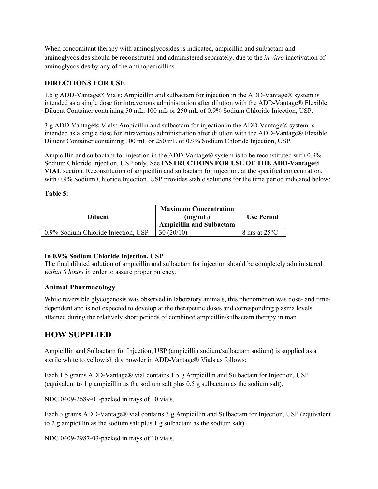When concomitant therapy with aminoglycosides is indicated, ampicillin and sulbactam and aminoglycosides should be reconstituted and administered separately, due to the *in vitro* inactivation of aminoglycosides by any of the aminopenicillins.

# **DIRECTIONS FOR USE**

1.5 g ADD-Vantage® Vials: Ampicillin and sulbactam for injection in the ADD-Vantage® system is intended as a single dose for intravenous administration after dilution with the ADD-Vantage® Flexible Diluent Container containing 50 mL, 100 mL or 250 mL of 0.9% Sodium Chloride Injection, USP.

3 g ADD-Vantage® Vials: Ampicillin and sulbactam for injection in the ADD-Vantage® system is intended as a single dose for intravenous administration after dilution with the ADD-Vantage® Flexible Diluent Container containing 100 mL or 250 mL of 0.9% Sodium Chloride Injection, USP.

Ampicillin and sulbactam for injection in the ADD-Vantage® system is to be reconstituted with 0.9% Sodium Chloride Injection, USP only. See **INSTRUCTIONS FOR USE OF THE ADD-Vantage® VIAL** section. Reconstitution of ampicillin and sulbactam for injection, at the specified concentration, with 0.9% Sodium Chloride Injection, USP provides stable solutions for the time period indicated below:

#### **Table 5:**

| <b>Diluent</b>                      | <b>Maximum Concentration</b><br>(mg/mL)<br><b>Ampicillin and Sulbactam</b> | <b>Use Period</b>          |
|-------------------------------------|----------------------------------------------------------------------------|----------------------------|
| 0.9% Sodium Chloride Injection, USP | 30(20/10)                                                                  | 8 hrs at 25 <sup>o</sup> C |

#### **In 0.9% Sodium Chloride Injection, USP**

The final diluted solution of ampicillin and sulbactam for injection should be completely administered *within 8 hours* in order to assure proper potency.

# **Animal Pharmacology**

While reversible glycogenosis was observed in laboratory animals, this phenomenon was dose- and timedependent and is not expected to develop at the therapeutic doses and corresponding plasma levels attained during the relatively short periods of combined ampicillin/sulbactam therapy in man.

# **HOW SUPPLIED**

Ampicillin and Sulbactam for Injection, USP (ampicillin sodium/sulbactam sodium) is supplied as a sterile white to yellowish dry powder in ADD-Vantage® Vials as follows:

Each 1.5 grams ADD-Vantage® vial contains 1.5 g Ampicillin and Sulbactam for Injection, USP (equivalent to 1 g ampicillin as the sodium salt plus 0.5 g sulbactam as the sodium salt).

NDC 0409-2689-01-packed in trays of 10 vials.

Each 3 grams ADD-Vantage® vial contains 3 g Ampicillin and Sulbactam for Injection, USP (equivalent to 2 g ampicillin as the sodium salt plus 1 g sulbactam as the sodium salt).

NDC 0409-2987-03-packed in trays of 10 vials.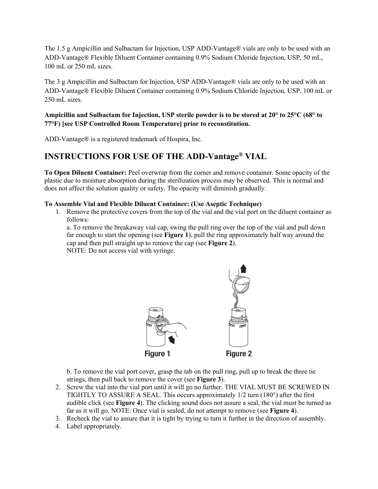The 1.5 g Ampicillin and Sulbactam for Injection, USP ADD-Vantage® vials are only to be used with an ADD-Vantage® Flexible Diluent Container containing 0.9% Sodium Chloride Injection, USP, 50 mL, 100 mL or 250 mL sizes.

The 3 g Ampicillin and Sulbactam for Injection, USP ADD-Vantage® vials are only to be used with an ADD-Vantage® Flexible Diluent Container containing 0.9% Sodium Chloride Injection, USP, 100 mL or 250 mL sizes.

#### **Ampicillin and Sulbactam for Injection, USP sterile powder is to be stored at 20° to 25°C (68° to 77°F) [see USP Controlled Room Temperature] prior to reconstitution.**

ADD-Vantage® is a registered trademark of Hospira, Inc.

# **INSTRUCTIONS FOR USE OF THE ADD-Vantage® VIAL**

**To Open Diluent Container:** Peel overwrap from the corner and remove container. Some opacity of the plastic due to moisture absorption during the sterilization process may be observed. This is normal and does not affect the solution quality or safety. The opacity will diminish gradually.

#### **To Assemble Vial and Flexible Diluent Container: (Use Aseptic Technique)**

1. Remove the protective covers from the top of the vial and the vial port on the diluent container as follows:

a. To remove the breakaway vial cap, swing the pull ring over the top of the vial and pull down far enough to start the opening (see **Figure 1**), pull the ring approximately half way around the cap and then pull straight up to remove the cap (see **Figure 2**). NOTE: Do not access vial with syringe.



b. To remove the vial port cover, grasp the tab on the pull ring, pull up to break the three tie strings, then pull back to remove the cover (see **Figure 3**).

- 2. Screw the vial into the vial port until it will go no further. THE VIAL MUST BE SCREWED IN TIGHTLY TO ASSURE A SEAL. This occurs approximately 1/2 turn (180°) after the first audible click (see **Figure 4**). The clicking sound does not assure a seal, the vial must be turned as far as it will go. NOTE: Once vial is sealed, do not attempt to remove (see **Figure 4**).
- 3. Recheck the vial to assure that it is tight by trying to turn it further in the direction of assembly.
- 4. Label appropriately.